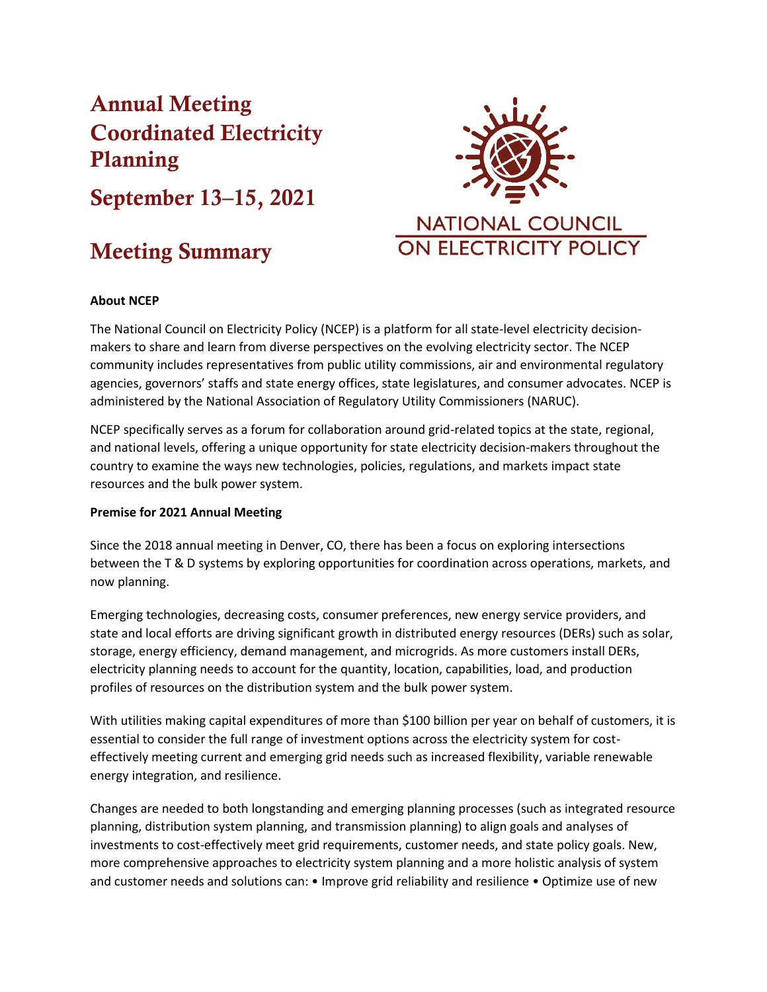# Annual Meeting Coordinated Electricity Planning

September 13–15, 2021

# Meeting Summary



# **About NCEP**

The National Council on Electricity Policy (NCEP) is a platform for all state-level electricity decisionmakers to share and learn from diverse perspectives on the evolving electricity sector. The NCEP community includes representatives from public utility commissions, air and environmental regulatory agencies, governors' staffs and state energy offices, state legislatures, and consumer advocates. NCEP is administered by the National Association of Regulatory Utility Commissioners (NARUC).

NCEP specifically serves as a forum for collaboration around grid-related topics at the state, regional, and national levels, offering a unique opportunity for state electricity decision-makers throughout the country to examine the ways new technologies, policies, regulations, and markets impact state resources and the bulk power system.

## **Premise for 2021 Annual Meeting**

Since the 2018 annual meeting in Denver, CO, there has been a focus on exploring intersections between the T & D systems by exploring opportunities for coordination across operations, markets, and now planning.

Emerging technologies, decreasing costs, consumer preferences, new energy service providers, and state and local efforts are driving significant growth in distributed energy resources (DERs) such as solar, storage, energy efficiency, demand management, and microgrids. As more customers install DERs, electricity planning needs to account for the quantity, location, capabilities, load, and production profiles of resources on the distribution system and the bulk power system.

With utilities making capital expenditures of more than \$100 billion per year on behalf of customers, it is essential to consider the full range of investment options across the electricity system for costeffectively meeting current and emerging grid needs such as increased flexibility, variable renewable energy integration, and resilience.

Changes are needed to both longstanding and emerging planning processes (such as integrated resource planning, distribution system planning, and transmission planning) to align goals and analyses of investments to cost-effectively meet grid requirements, customer needs, and state policy goals. New, more comprehensive approaches to electricity system planning and a more holistic analysis of system and customer needs and solutions can: • Improve grid reliability and resilience • Optimize use of new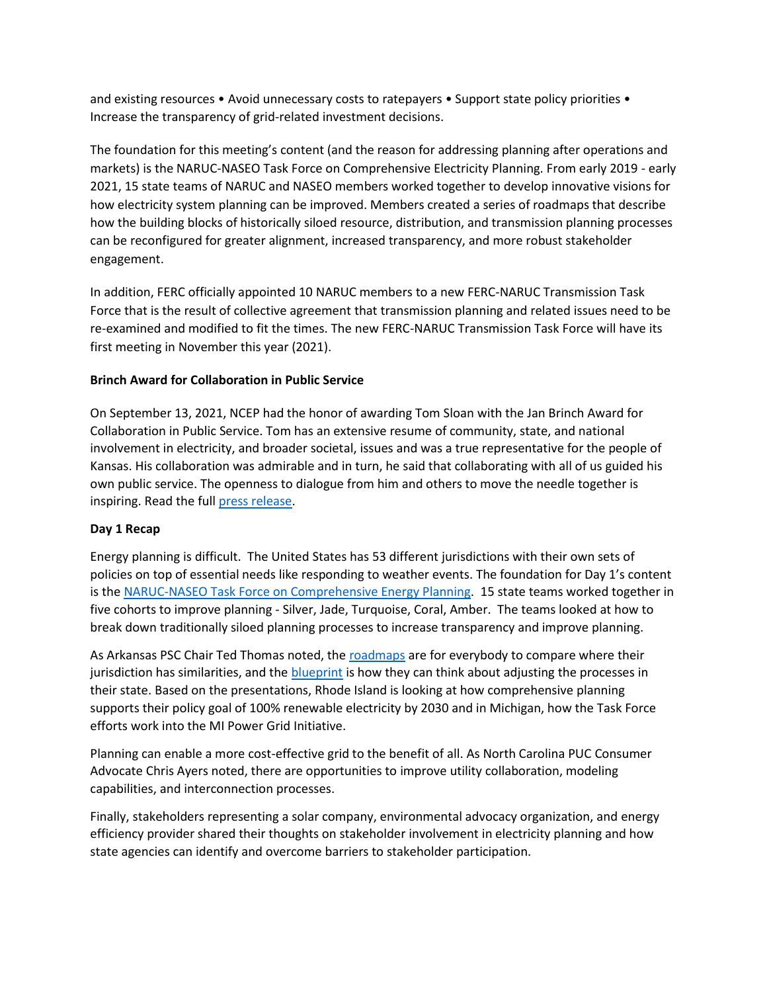and existing resources • Avoid unnecessary costs to ratepayers • Support state policy priorities • Increase the transparency of grid-related investment decisions.

The foundation for this meeting's content (and the reason for addressing planning after operations and markets) is the NARUC-NASEO Task Force on Comprehensive Electricity Planning. From early 2019 - early 2021, 15 state teams of NARUC and NASEO members worked together to develop innovative visions for how electricity system planning can be improved. Members created a series of roadmaps that describe how the building blocks of historically siloed resource, distribution, and transmission planning processes can be reconfigured for greater alignment, increased transparency, and more robust stakeholder engagement.

In addition, FERC officially appointed 10 NARUC members to a new FERC-NARUC Transmission Task Force that is the result of collective agreement that transmission planning and related issues need to be re-examined and modified to fit the times. The new FERC-NARUC Transmission Task Force will have its first meeting in November this year (2021).

# **Brinch Award for Collaboration in Public Service**

On September 13, 2021, NCEP had the honor of awarding Tom Sloan with the Jan Brinch Award for Collaboration in Public Service. Tom has an extensive resume of community, state, and national involvement in electricity, and broader societal, issues and was a true representative for the people of Kansas. His collaboration was admirable and in turn, he said that collaborating with all of us guided his own public service. The openness to dialogue from him and others to move the needle together is inspiring. Read the ful[l press release.](https://www.naruc.org/about-naruc/press-releases/tom-sloan-honored-with-naruc-s-ncep-brinch-award-for-collaboration-in-public-service/)

## **Day 1 Recap**

Energy planning is difficult. The United States has 53 different jurisdictions with their own sets of policies on top of essential needs like responding to weather events. The foundation for Day 1's content is th[e NARUC-NASEO Task Force on Comprehensive Energy Planning.](http://www.naruc.org/taskforce/resource-for-action) 15 state teams worked together in five cohorts to improve planning - Silver, Jade, Turquoise, Coral, Amber. The teams looked at how to break down traditionally siloed planning processes to increase transparency and improve planning.

As Arkansas PSC Chair Ted Thomas noted, th[e roadmaps](https://www.naruc.org/taskforce/resources-for-action/roadmaps/) are for everybody to compare where their jurisdiction has similarities, and th[e blueprint](https://pubs.naruc.org/pub/14F19AC8-155D-0A36-311F-4002BC140969) is how they can think about adjusting the processes in their state. Based on the presentations, Rhode Island is looking at how comprehensive planning supports their policy goal of 100% renewable electricity by 2030 and in Michigan, how the Task Force efforts work into the MI Power Grid Initiative.

Planning can enable a more cost-effective grid to the benefit of all. As North Carolina PUC Consumer Advocate Chris Ayers noted, there are opportunities to improve utility collaboration, modeling capabilities, and interconnection processes.

Finally, stakeholders representing a solar company, environmental advocacy organization, and energy efficiency provider shared their thoughts on stakeholder involvement in electricity planning and how state agencies can identify and overcome barriers to stakeholder participation.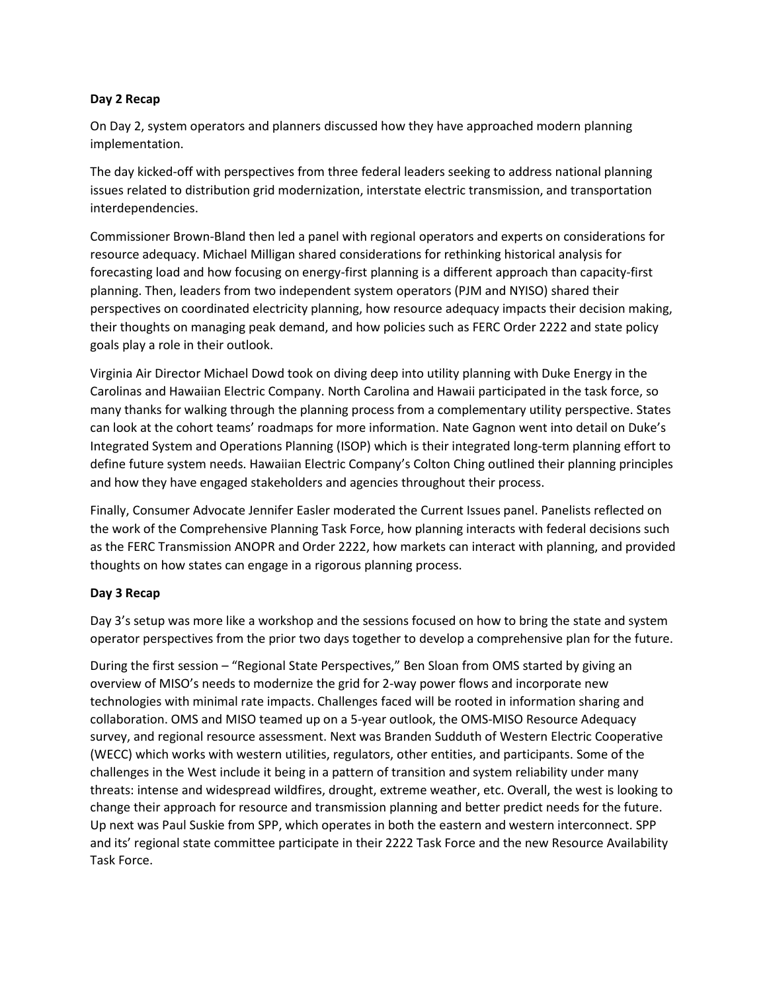## **Day 2 Recap**

On Day 2, system operators and planners discussed how they have approached modern planning implementation.

The day kicked-off with perspectives from three federal leaders seeking to address national planning issues related to distribution grid modernization, interstate electric transmission, and transportation interdependencies.

Commissioner Brown-Bland then led a panel with regional operators and experts on considerations for resource adequacy. Michael Milligan shared considerations for rethinking historical analysis for forecasting load and how focusing on energy-first planning is a different approach than capacity-first planning. Then, leaders from two independent system operators (PJM and NYISO) shared their perspectives on coordinated electricity planning, how resource adequacy impacts their decision making, their thoughts on managing peak demand, and how policies such as FERC Order 2222 and state policy goals play a role in their outlook.

Virginia Air Director Michael Dowd took on diving deep into utility planning with Duke Energy in the Carolinas and Hawaiian Electric Company. North Carolina and Hawaii participated in the task force, so many thanks for walking through the planning process from a complementary utility perspective. States can look at the cohort teams' roadmaps for more information. Nate Gagnon went into detail on Duke's Integrated System and Operations Planning (ISOP) which is their integrated long-term planning effort to define future system needs. Hawaiian Electric Company's Colton Ching outlined their planning principles and how they have engaged stakeholders and agencies throughout their process.

Finally, Consumer Advocate Jennifer Easler moderated the Current Issues panel. Panelists reflected on the work of the Comprehensive Planning Task Force, how planning interacts with federal decisions such as the FERC Transmission ANOPR and Order 2222, how markets can interact with planning, and provided thoughts on how states can engage in a rigorous planning process.

## **Day 3 Recap**

Day 3's setup was more like a workshop and the sessions focused on how to bring the state and system operator perspectives from the prior two days together to develop a comprehensive plan for the future.

During the first session – "Regional State Perspectives," Ben Sloan from OMS started by giving an overview of MISO's needs to modernize the grid for 2-way power flows and incorporate new technologies with minimal rate impacts. Challenges faced will be rooted in information sharing and collaboration. OMS and MISO teamed up on a 5-year outlook, the OMS-MISO Resource Adequacy survey, and regional resource assessment. Next was Branden Sudduth of Western Electric Cooperative (WECC) which works with western utilities, regulators, other entities, and participants. Some of the challenges in the West include it being in a pattern of transition and system reliability under many threats: intense and widespread wildfires, drought, extreme weather, etc. Overall, the west is looking to change their approach for resource and transmission planning and better predict needs for the future. Up next was Paul Suskie from SPP, which operates in both the eastern and western interconnect. SPP and its' regional state committee participate in their 2222 Task Force and the new Resource Availability Task Force.